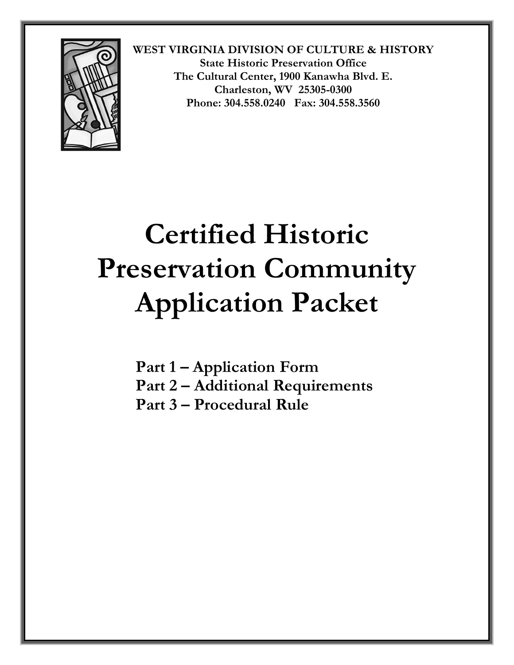

# **Certified Historic Preservation Community Application Packet**

**Part 1 – Application Form Part 2 – Additional Requirements Part 3 – Procedural Rule**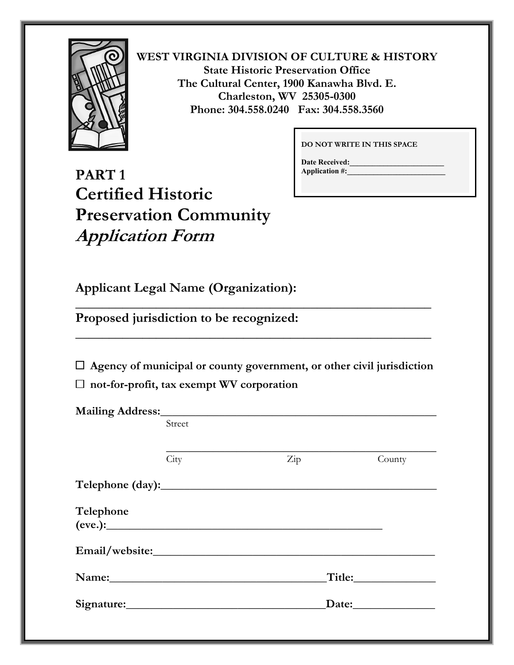

**DO NOT WRITE IN THIS SPACE** 

**Date Received: Application #:\_\_\_\_\_\_\_\_\_\_\_\_\_\_\_\_\_\_\_\_\_\_\_\_\_\_** 

# **PART 1 Certified Historic Preservation Community Application Form**

**Applicant Legal Name (Organization):** 

**Proposed jurisdiction to be recognized:** 

 **Agency of municipal or county government, or other civil jurisdiction** 

**\_\_\_\_\_\_\_\_\_\_\_\_\_\_\_\_\_\_\_\_\_\_\_\_\_\_\_\_\_\_\_\_\_\_\_\_\_\_\_\_\_\_\_\_\_\_\_\_\_\_\_\_\_** 

**\_\_\_\_\_\_\_\_\_\_\_\_\_\_\_\_\_\_\_\_\_\_\_\_\_\_\_\_\_\_\_\_\_\_\_\_\_\_\_\_\_\_\_\_\_\_\_\_\_\_\_\_\_** 

 **not-for-profit, tax exempt WV corporation** 

| Street               |     |               |  |
|----------------------|-----|---------------|--|
|                      |     |               |  |
| City                 | Zip | County        |  |
|                      |     |               |  |
| Telephone<br>(eve.): |     |               |  |
|                      |     |               |  |
|                      |     |               |  |
|                      |     | Date:________ |  |
|                      |     |               |  |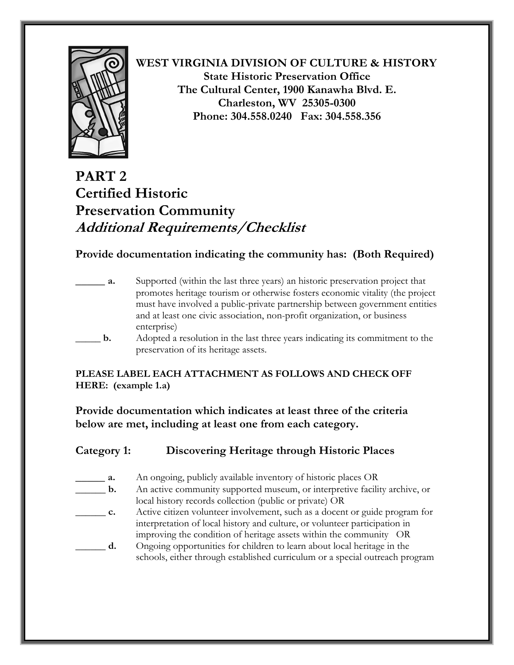

# **PART 2 Certified Historic Preservation Community Additional Requirements/Checklist**

## **Provide documentation indicating the community has: (Both Required)**

| <b>a.</b> | Supported (within the last three years) an historic preservation project that<br>promotes heritage tourism or otherwise fosters economic vitality (the project<br>must have involved a public-private partnership between government entities<br>and at least one civic association, non-profit organization, or business |
|-----------|---------------------------------------------------------------------------------------------------------------------------------------------------------------------------------------------------------------------------------------------------------------------------------------------------------------------------|
| b.        | enterprise)<br>Adopted a resolution in the last three years indicating its commitment to the<br>preservation of its heritage assets.                                                                                                                                                                                      |

### **PLEASE LABEL EACH ATTACHMENT AS FOLLOWS AND CHECK OFF HERE: (example 1.a)**

**Provide documentation which indicates at least three of the criteria below are met, including at least one from each category.** 

| Category 1:    | Discovering Heritage through Historic Places                                |
|----------------|-----------------------------------------------------------------------------|
| а.             | An ongoing, publicly available inventory of historic places OR              |
| $\mathbf{b}$ . | An active community supported museum, or interpretive facility archive, or  |
|                | local history records collection (public or private) OR                     |
| c.             | Active citizen volunteer involvement, such as a docent or guide program for |
|                | interpretation of local history and culture, or volunteer participation in  |
|                | improving the condition of heritage assets within the community OR          |
|                |                                                                             |

**\_\_\_\_\_\_ d.** Ongoing opportunities for children to learn about local heritage in the schools, either through established curriculum or a special outreach program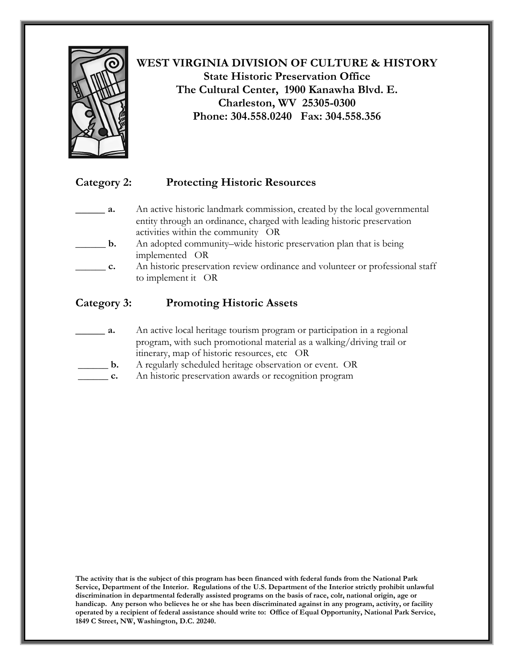

## **Category 2: Protecting Historic Resources**

- \_\_\_\_\_ **a.** An active historic landmark commission, created by the local governmental entity through an ordinance, charged with leading historic preservation activities within the community OR
- \_\_\_\_\_\_ **b.** An adopted community–wide historic preservation plan that is being implemented OR
- **\_\_\_\_\_\_ c.** An historic preservation review ordinance and volunteer or professional staff to implement it OR

## **Category 3: Promoting Historic Assets**

- **\_\_\_\_\_ a.** An active local heritage tourism program or participation in a regional program, with such promotional material as a walking/driving trail or itinerary, map of historic resources, etc OR
- \_\_\_\_\_\_ **b.** A regularly scheduled heritage observation or event. OR
- \_\_\_\_\_\_ **c.** An historic preservation awards or recognition program

**The activity that is the subject of this program has been financed with federal funds from the National Park Service, Department of the Interior. Regulations of the U.S. Department of the Interior strictly prohibit unlawful discrimination in departmental federally assisted programs on the basis of race, colr, national origin, age or handicap. Any person who believes he or she has been discriminated against in any program, activity, or facility operated by a recipient of federal assistance should write to: Office of Equal Opportunity, National Park Service, 1849 C Street, NW, Washington, D.C. 20240.**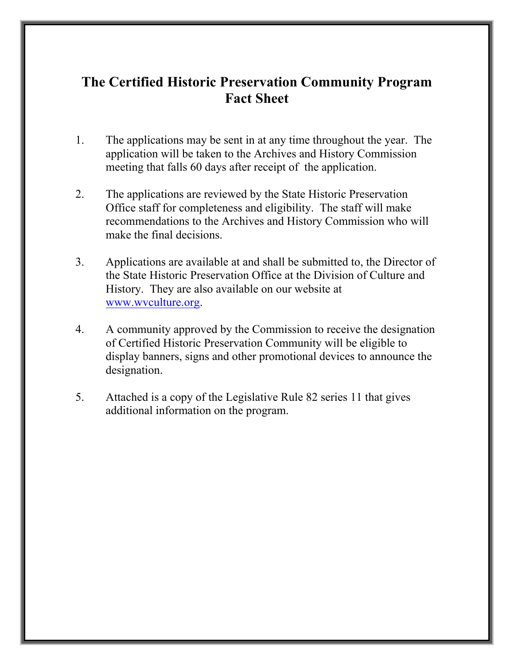# **The Certified Historic Preservation Community Program Fact Sheet**

- 1. The applications may be sent in at any time throughout the year. The application will be taken to the Archives and History Commission meeting that falls 60 days after receipt of the application.
- 2. The applications are reviewed by the State Historic Preservation Office staff for completeness and eligibility. The staff will make recommendations to the Archives and History Commission who will make the final decisions.
- 3. Applications are available at and shall be submitted to, the Director of the State Historic Preservation Office at the Division of Culture and History. They are also available on our website at [www.wvculture.org](http://www.wvculture.org/).
- 4. A community approved by the Commission to receive the designation of Certified Historic Preservation Community will be eligible to display banners, signs and other promotional devices to announce the designation.
- 5. Attached is a copy of the Legislative Rule 82 series 11 that gives additional information on the program.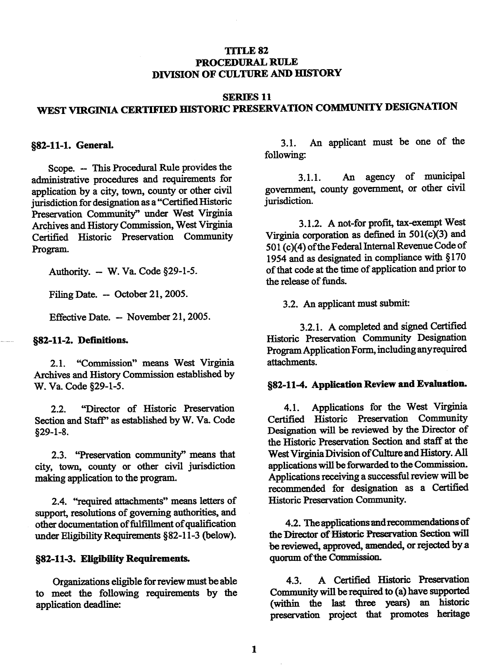#### TITLE 82 PROCEDURAL RULE DIVISION OF CULTURE AND HISTORY

#### **SERIES 11** WEST VIRGINIA CERTIFIED HISTORIC PRESERVATION COMMUNITY DESIGNATION

#### 882-11-1. General.

Scope. -- This Procedural Rule provides the administrative procedures and requirements for application by a city, town, county or other civil jurisdiction for designation as a "Certified Historic Preservation Community" under West Virginia Archives and History Commission, West Virginia Certified Historic Preservation Community Program.

Authority. - W. Va. Code §29-1-5.

Filing Date. - October 21, 2005.

Effective Date. - November 21, 2005.

#### §82-11-2. Definitions.

"Commission" means West Virginia  $2.1.$ Archives and History Commission established by W. Va. Code §29-1-5.

"Director of Historic Preservation  $2.2<sub>1</sub>$ Section and Staff" as established by W. Va. Code  $$29-1-8.$ 

2.3. "Preservation community" means that city, town, county or other civil jurisdiction making application to the program.

2.4. "required attachments" means letters of support, resolutions of governing authorities, and other documentation of fulfillment of qualification under Eligibility Requirements §82-11-3 (below).

#### §82-11-3. Eligibility Requirements.

Organizations eligible for review must be able to meet the following requirements by the application deadline:

An applicant must be one of the  $3.1.$ following:

An agency of municipal  $3.1.1.$ government, county government, or other civil jurisdiction.

3.1.2. A not-for profit, tax-exempt West Virginia corporation as defined in  $501(c)(3)$  and 501 (c)(4) of the Federal Internal Revenue Code of 1954 and as designated in compliance with §170 of that code at the time of application and prior to the release of funds.

3.2. An applicant must submit:

3.2.1. A completed and signed Certified Historic Preservation Community Designation Program Application Form, including any required attachments.

#### §82-11-4. Application Review and Evaluation.

Applications for the West Virginia  $4.1.$ Certified Historic Preservation Community Designation will be reviewed by the Director of the Historic Preservation Section and staff at the West Virginia Division of Culture and History. All applications will be forwarded to the Commission. Applications receiving a successful review will be recommended for designation as a Certified Historic Preservation Community.

4.2. The applications and recommendations of the Director of Historic Preservation Section will be reviewed, approved, amended, or rejected by a quorum of the Commission.

A Certified Historic Preservation 4.3. Community will be required to (a) have supported (within the last three years) an historic preservation project that promotes heritage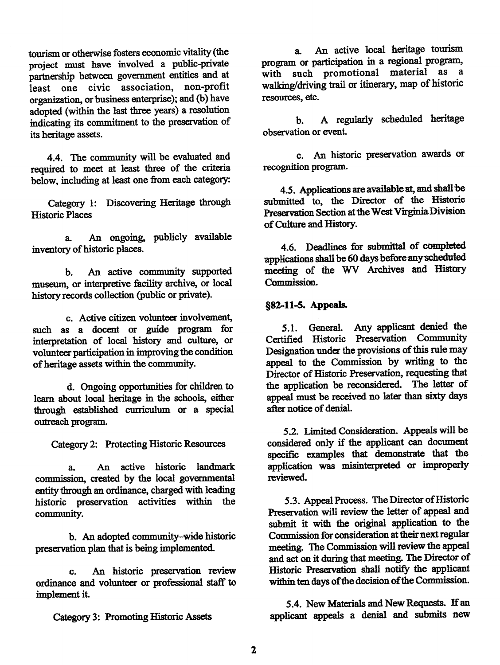tourism or otherwise fosters economic vitality (the project must have involved a public-private partnership between government entities and at least one civic association, non-profit organization, or business enterprise); and (b) have adopted (within the last three years) a resolution indicating its commitment to the preservation of its heritage assets

4.4. The community will be evaluated and required to meet at least three of the criteria below, including at least one from each category:

Category 1: Discovering Heritage through **Historic Places** 

An ongoing, publicly available я. inventory of historic places.

An active community supported  $\mathbf{h}$ museum, or interpretive facility archive, or local history records collection (public or private).

c. Active citizen volunteer involvement, such as a docent or guide program for interpretation of local history and culture, or volunteer participation in improving the condition of heritage assets within the community.

d. Ongoing opportunities for children to learn about local heritage in the schools, either through established curriculum or a special outreach program.

Category 2: Protecting Historic Resources

An active historic landmark  $\mathbf{a}$ commission, created by the local governmental entity through an ordinance, charged with leading historic preservation activities within the community.

b. An adopted community-wide historic preservation plan that is being implemented.

An historic preservation review  $\mathbf{c}$ . ordinance and volunteer or professional staff to implement it.

Category 3: Promoting Historic Assets

An active local heritage tourism  $a_{-}$ program or participation in a regional program. with such promotional material as a walking/driving trail or itinerary, map of historic resources, etc.

A regularly scheduled heritage  $h_{\cdot}$ observation or event.

c. An historic preservation awards or recognition program.

4.5. Applications are available at, and shall be submitted to the Director of the Historic Preservation Section at the West Virginia Division of Culture and History.

4.6. Deadlines for submittal of completed applications shall be 60 days before any scheduled meeting of the WV Archives and History Commission.

#### §82-11-5. Appeals.

5.1. General. Any applicant denied the Certified Historic Preservation Community Designation under the provisions of this rule may appeal to the Commission by writing to the Director of Historic Preservation, requesting that the application be reconsidered. The letter of appeal must be received no later than sixty days after notice of denial.

5.2. Limited Consideration. Appeals will be considered only if the applicant can document specific examples that demonstrate that the application was misinterpreted or improperly reviewed.

5.3. Appeal Process. The Director of Historic Preservation will review the letter of appeal and submit it with the original application to the Commission for consideration at their next regular meeting. The Commission will review the appeal and act on it during that meeting. The Director of Historic Preservation shall notify the applicant within ten days of the decision of the Commission.

5.4. New Materials and New Requests. If an applicant appeals a denial and submits new